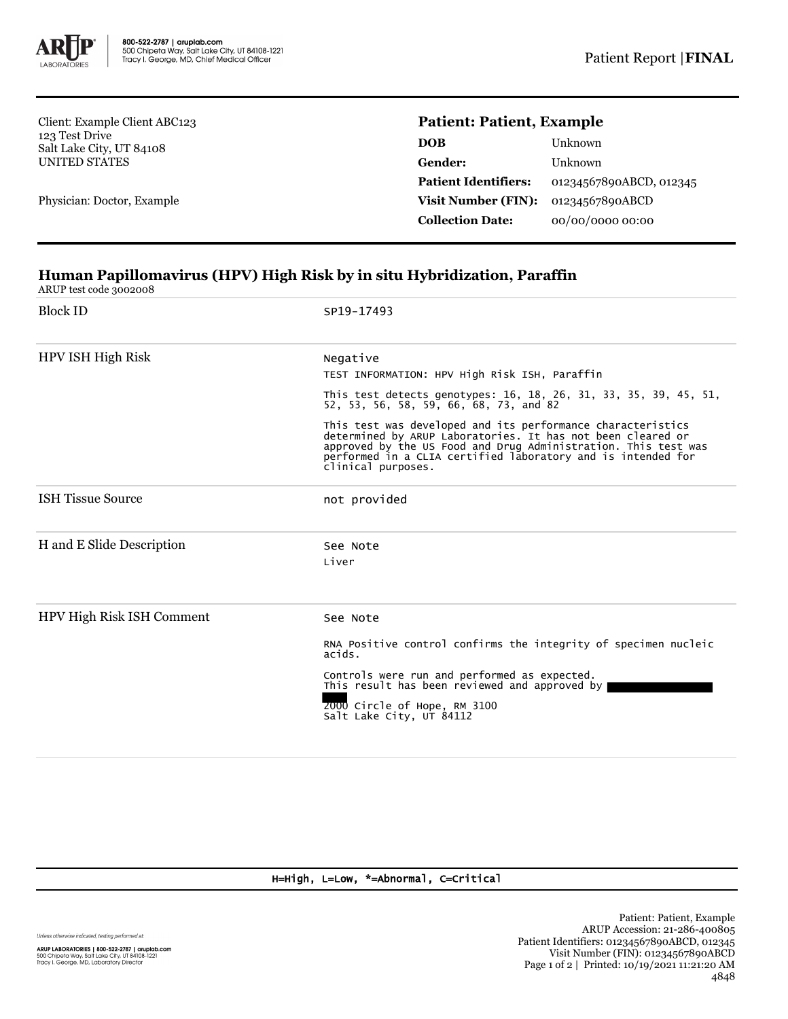

Client: Example Client ABC123 123 Test Drive Salt Lake City, UT 84108 UNITED STATES

Physician: Doctor, Example

## **Patient: Patient, Example**

| DOB                         | Unknown                 |
|-----------------------------|-------------------------|
| Gender:                     | Unknown                 |
| <b>Patient Identifiers:</b> | 01234567890ABCD, 012345 |
| Visit Number (FIN):         | 01234567890ABCD         |
| <b>Collection Date:</b>     | 00/00/0000 00:00        |
|                             |                         |

## **Human Papillomavirus (HPV) High Risk by in situ Hybridization, Paraffin**

ARUP test code 3002008

| <b>Block ID</b>           | SP19-17493                                                                                                                                                                                                                                                                      |  |  |  |
|---------------------------|---------------------------------------------------------------------------------------------------------------------------------------------------------------------------------------------------------------------------------------------------------------------------------|--|--|--|
| HPV ISH High Risk         | Negative<br>TEST INFORMATION: HPV High Risk ISH, Paraffin                                                                                                                                                                                                                       |  |  |  |
|                           | This test detects genotypes: 16, 18, 26, 31, 33, 35, 39, 45, 51,<br>52, 53, 56, 58, 59, 66, 68, 73, and 82                                                                                                                                                                      |  |  |  |
|                           | This test was developed and its performance characteristics<br>determined by ARUP Laboratories. It has not been cleared or approved by the US Food and Drug Administration. This test was<br>performed in a CLIA certified laboratory and is intended for<br>clinical purposes. |  |  |  |
| <b>ISH Tissue Source</b>  | not provided                                                                                                                                                                                                                                                                    |  |  |  |
| H and E Slide Description | See Note<br>Liver                                                                                                                                                                                                                                                               |  |  |  |
| HPV High Risk ISH Comment | See Note                                                                                                                                                                                                                                                                        |  |  |  |
|                           | RNA Positive control confirms the integrity of specimen nucleic<br>acids.                                                                                                                                                                                                       |  |  |  |
|                           | Controls were run and performed as expected.<br>This result has been reviewed and approved by                                                                                                                                                                                   |  |  |  |
|                           | 2000 Circle of Hope, RM 3100<br>Salt Lake City, UT 84112                                                                                                                                                                                                                        |  |  |  |
|                           |                                                                                                                                                                                                                                                                                 |  |  |  |

H=High, L=Low, \*=Abnormal, C=Critical

Unless otherwise indicated, testing performed at:

**ARUP LABORATORIES | 800-522-2787 | aruplab.com**<br>500 Chipeta Way, Salt Lake City, UT 84108-1221<br>Tracy I. George, MD, Laboratory Director